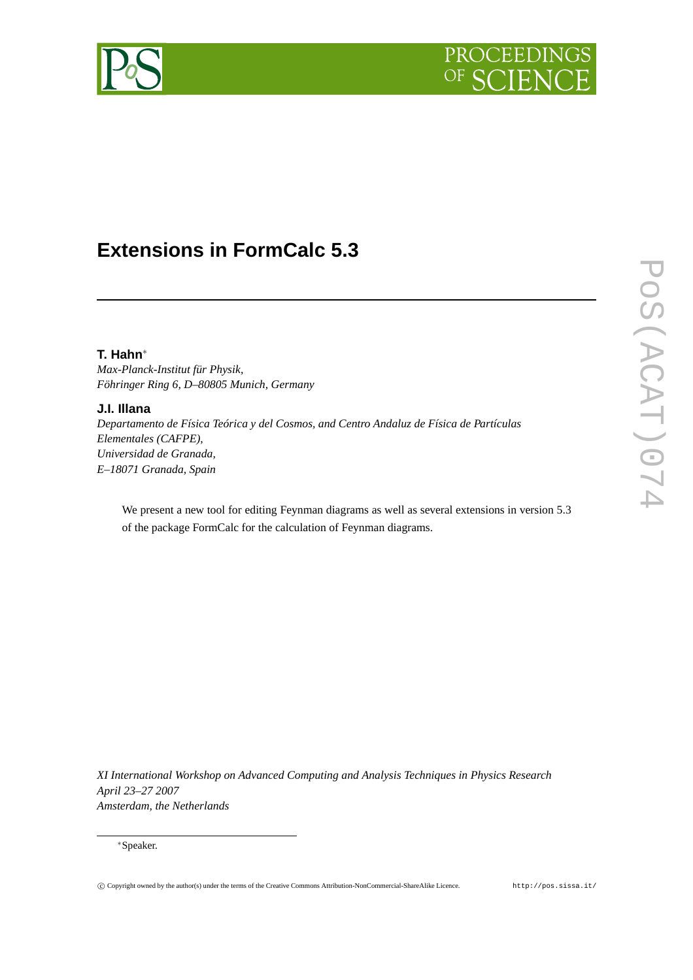



# **Extensions in FormCalc 5.3**

# **T. Hahn**∗

*Max-Planck-Institut für Physik, Föhringer Ring 6, D–80805 Munich, Germany*

# **J.I. Illana**

*Departamento de Física Teórica y del Cosmos, and Centro Andaluz de Física de Partículas Elementales (CAFPE), Universidad de Granada, E–18071 Granada, Spain*

We present a new tool for editing Feynman diagrams as well as several extensions in version 5.3 of the package FormCalc for the calculation of Feynman diagrams.

*XI International Workshop on Advanced Computing and Analysis Techniques in Physics Research April 23–27 2007 Amsterdam, the Netherlands*

#### ∗Speaker.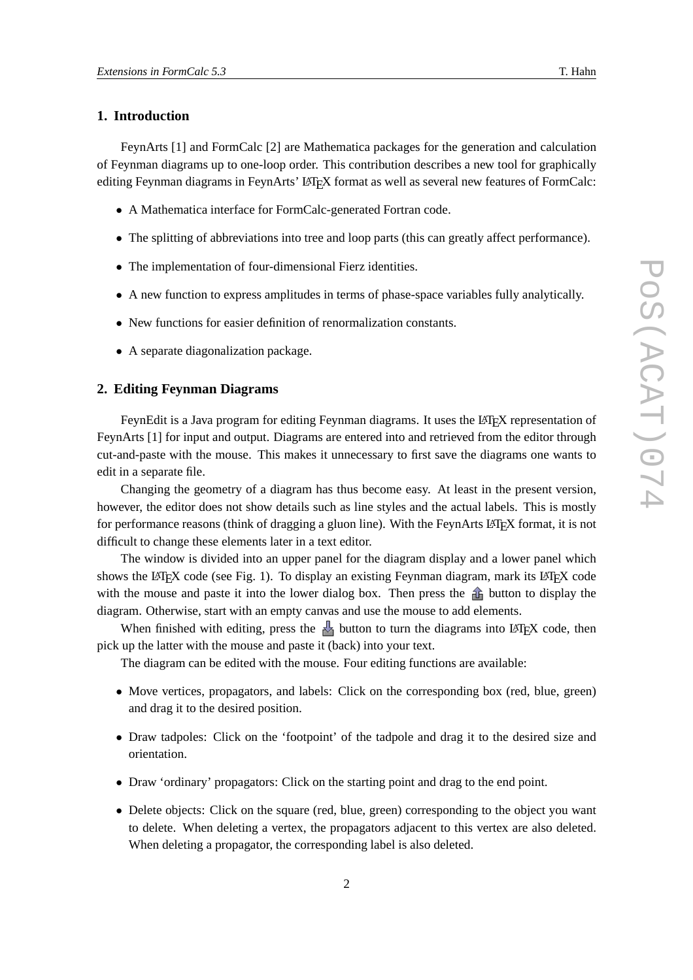## **1. Introduction**

FeynArts [1] and FormCalc [2] are Mathematica packages for the generation and calculation of Feynman diagrams up to one-loop order. This contribution describes a new tool for graphically editing Feynman diagrams in FeynArts' LATEX format as well as several new features of FormCalc:

- A Mathematica interface for FormCalc-generated Fortran code.
- The splitting of abbreviations into tree and loop parts (this can greatly affect performance).
- The implementation of four-dimensional Fierz identities.
- A new function to express amplitudes in terms of phase-space variables fully analytically.
- New functions for easier definition of renormalization constants.
- A separate diagonalization package.

# **2. Editing Feynman Diagrams**

FeynEdit is a Java program for editing Feynman diagrams. It uses the LATEX representation of FeynArts [1] for input and output. Diagrams are entered into and retrieved from the editor through cut-and-paste with the mouse. This makes it unnecessary to first save the diagrams one wants to edit in a separate file.

Changing the geometry of a diagram has thus become easy. At least in the present version, however, the editor does not show details such as line styles and the actual labels. This is mostly for performance reasons (think of dragging a gluon line). With the FeynArts LATEX format, it is not difficult to change these elements later in a text editor.

The window is divided into an upper panel for the diagram display and a lower panel which shows the LAT<sub>EX</sub> code (see Fig. 1). To display an existing Feynman diagram, mark its LAT<sub>EX</sub> code with the mouse and paste it into the lower dialog box. Then press the  $\hat{d}$  button to display the diagram. Otherwise, start with an empty canvas and use the mouse to add elements.

When finished with editing, press the  $\frac{1}{2}$  button to turn the diagrams into LATEX code, then pick up the latter with the mouse and paste it (back) into your text.

The diagram can be edited with the mouse. Four editing functions are available:

- Move vertices, propagators, and labels: Click on the corresponding box (red, blue, green) and drag it to the desired position.
- Draw tadpoles: Click on the 'footpoint' of the tadpole and drag it to the desired size and orientation.
- Draw 'ordinary' propagators: Click on the starting point and drag to the end point.
- Delete objects: Click on the square (red, blue, green) corresponding to the object you want to delete. When deleting a vertex, the propagators adjacent to this vertex are also deleted. When deleting a propagator, the corresponding label is also deleted.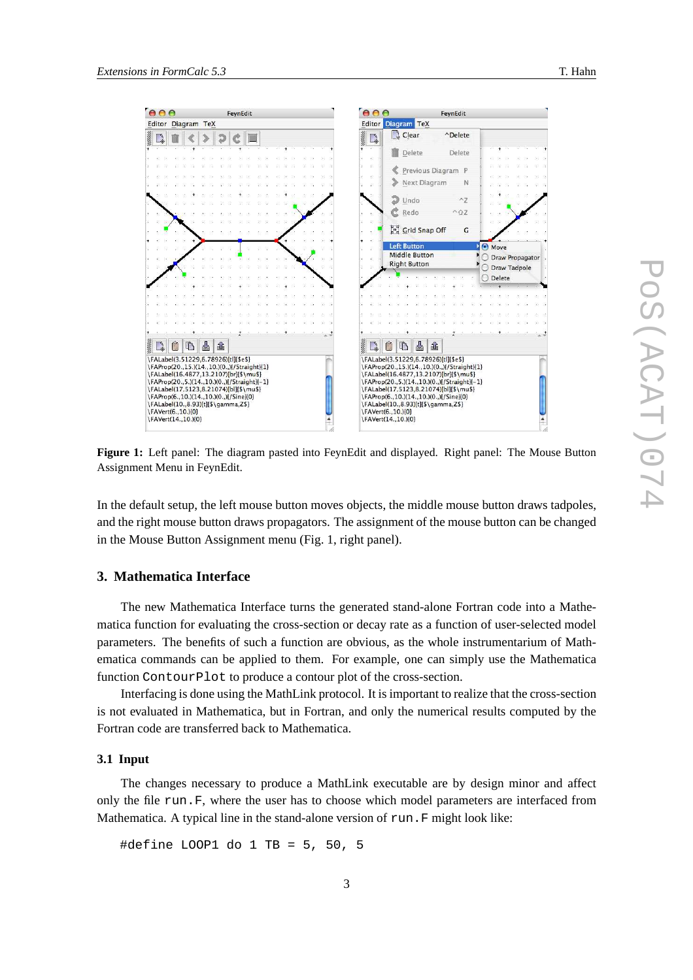

**Figure 1:** Left panel: The diagram pasted into FeynEdit and displayed. Right panel: The Mouse Button Assignment Menu in FeynEdit.

In the default setup, the left mouse button moves objects, the middle mouse button draws tadpoles, and the right mouse button draws propagators. The assignment of the mouse button can be changed in the Mouse Button Assignment menu (Fig. 1, right panel).

## **3. Mathematica Interface**

The new Mathematica Interface turns the generated stand-alone Fortran code into a Mathematica function for evaluating the cross-section or decay rate as a function of user-selected model parameters. The benefits of such a function are obvious, as the whole instrumentarium of Mathematica commands can be applied to them. For example, one can simply use the Mathematica function ContourPlot to produce a contour plot of the cross-section.

Interfacing is done using the MathLink protocol. It is important to realize that the cross-section is not evaluated in Mathematica, but in Fortran, and only the numerical results computed by the Fortran code are transferred back to Mathematica.

#### **3.1 Input**

The changes necessary to produce a MathLink executable are by design minor and affect only the file run.F, where the user has to choose which model parameters are interfaced from Mathematica. A typical line in the stand-alone version of run. F might look like:

#define LOOP1 do 1 TB = 5, 50, 5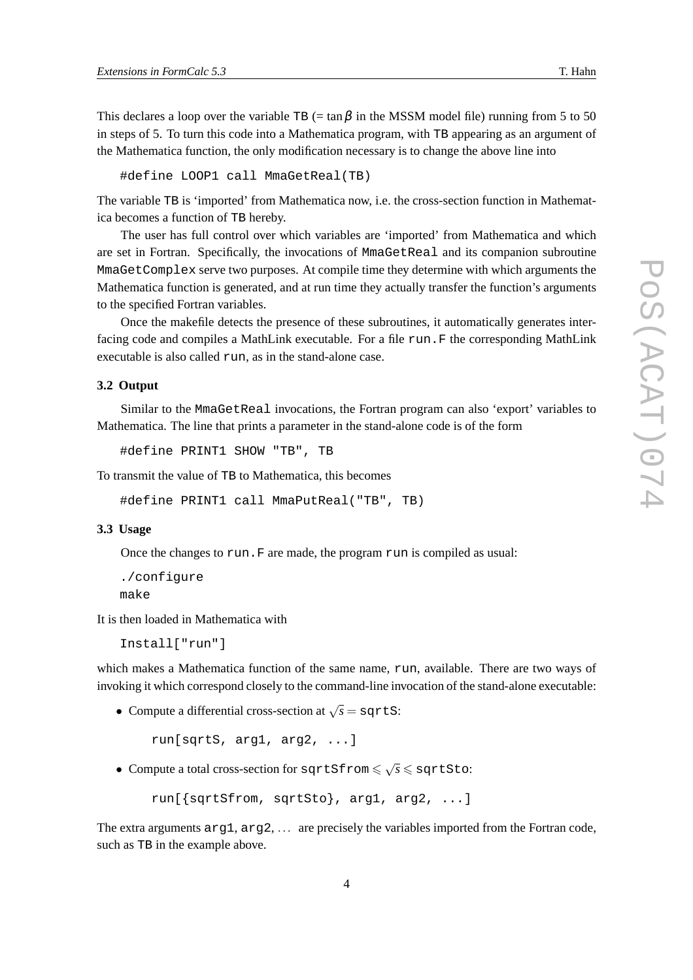This declares a loop over the variable TB (= tan  $\beta$  in the MSSM model file) running from 5 to 50 in steps of 5. To turn this code into a Mathematica program, with TB appearing as an argument of the Mathematica function, the only modification necessary is to change the above line into

#define LOOP1 call MmaGetReal(TB)

The variable TB is 'imported' from Mathematica now, i.e. the cross-section function in Mathematica becomes a function of TB hereby.

The user has full control over which variables are 'imported' from Mathematica and which are set in Fortran. Specifically, the invocations of MmaGetReal and its companion subroutine MmaGetComplex serve two purposes. At compile time they determine with which arguments the Mathematica function is generated, and at run time they actually transfer the function's arguments to the specified Fortran variables.

Once the makefile detects the presence of these subroutines, it automatically generates interfacing code and compiles a MathLink executable. For a file run. F the corresponding MathLink executable is also called run, as in the stand-alone case.

### **3.2 Output**

Similar to the MmaGetReal invocations, the Fortran program can also 'export' variables to Mathematica. The line that prints a parameter in the stand-alone code is of the form

```
#define PRINT1 SHOW "TB", TB
```
To transmit the value of TB to Mathematica, this becomes

#define PRINT1 call MmaPutReal("TB", TB)

#### **3.3 Usage**

Once the changes to run.F are made, the program run is compiled as usual:

```
./configure
make
```
It is then loaded in Mathematica with

Install["run"]

which makes a Mathematica function of the same name, run, available. There are two ways of invoking it which correspond closely to the command-line invocation of the stand-alone executable:

• Compute a differential cross-section at  $\sqrt{s} =$  sqrtS:

run[sqrtS, arg1, arg2, ...]

• Compute a total cross-section for  $sqrt{sf} \leqslant \sqrt{s} \leqslant$  sqrtSto:

```
run[{sqrtSfrom, sqrtSto}, arg1, arg2, ...]
```
The extra arguments arg1, arg2, ... are precisely the variables imported from the Fortran code, such as TB in the example above.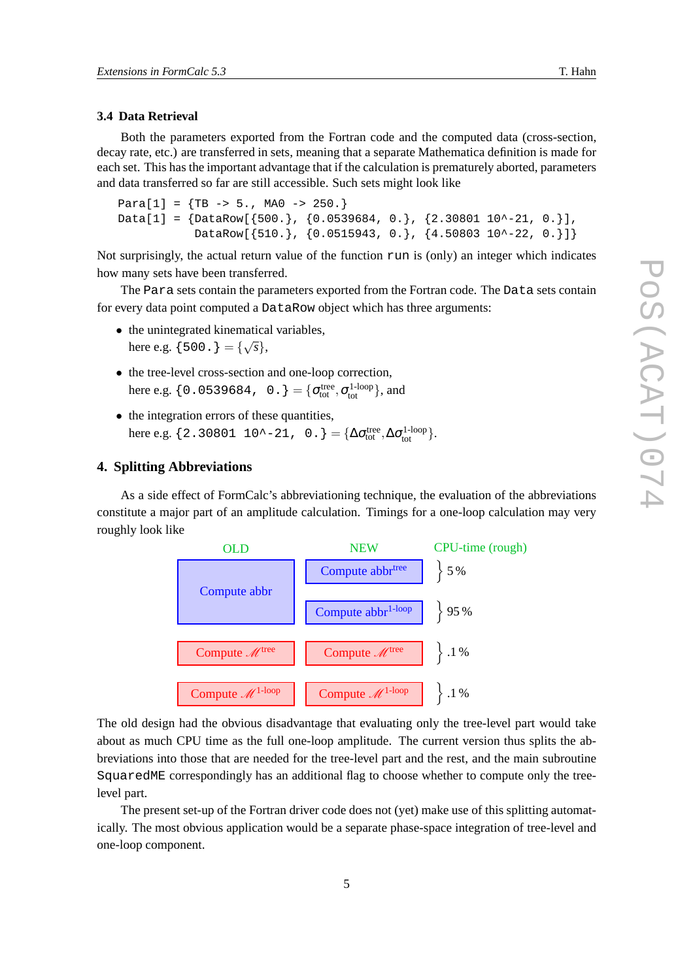## **3.4 Data Retrieval**

Both the parameters exported from the Fortran code and the computed data (cross-section, decay rate, etc.) are transferred in sets, meaning that a separate Mathematica definition is made for each set. This has the important advantage that if the calculation is prematurely aborted, parameters and data transferred so far are still accessible. Such sets might look like

```
Para[1] = {TB -5.}, MAO -> 250.}
Data[1] = \{DataRow[\{500.\}, \{0.0539684, 0.\}, \{2.30801\ 10^2-21, 0.\}]DataRow[{510.}, {0.0515943, 0.}, {4.50803 10^-22, 0.}]}
```
Not surprisingly, the actual return value of the function run is (only) an integer which indicates how many sets have been transferred.

The Para sets contain the parameters exported from the Fortran code. The Data sets contain for every data point computed a DataRow object which has three arguments:

- the unintegrated kinematical variables, here e.g.  $\{500.\} = \{\sqrt{s}\},\$
- the tree-level cross-section and one-loop correction, here e.g.  $\{0.0539684, 0. \} = \{\sigma_{tot}^{tree}, \sigma_{tot}^{1-loop}\},$  and
- the integration errors of these quantities, here e.g.  $\{2.30801 \ 10^{\lambda} - 21, \ 0. \} = {\Delta \sigma_{tot}^{tree}, \Delta \sigma_{tot}^{1-loop}}.$

## **4. Splitting Abbreviations**

As a side effect of FormCalc's abbreviationing technique, the evaluation of the abbreviations constitute a major part of an amplitude calculation. Timings for a one-loop calculation may very roughly look like



The old design had the obvious disadvantage that evaluating only the tree-level part would take about as much CPU time as the full one-loop amplitude. The current version thus splits the abbreviations into those that are needed for the tree-level part and the rest, and the main subroutine SquaredME correspondingly has an additional flag to choose whether to compute only the treelevel part.

The present set-up of the Fortran driver code does not (yet) make use of this splitting automatically. The most obvious application would be a separate phase-space integration of tree-level and one-loop component.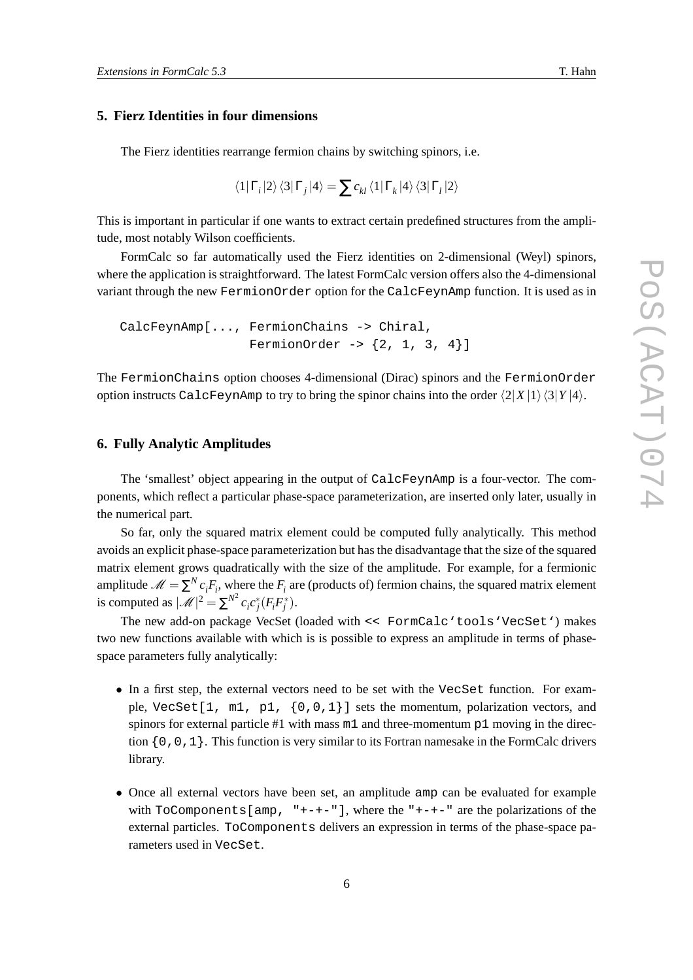## **5. Fierz Identities in four dimensions**

The Fierz identities rearrange fermion chains by switching spinors, i.e.

$$
\left\langle 1 \right| \Gamma_{i} \left| 2 \right\rangle \left\langle 3 \right| \Gamma_{j} \left| 4 \right\rangle = \sum c_{kl} \left\langle 1 \right| \Gamma_{k} \left| 4 \right\rangle \left\langle 3 \right| \Gamma_{l} \left| 2 \right\rangle
$$

This is important in particular if one wants to extract certain predefined structures from the amplitude, most notably Wilson coefficients.

FormCalc so far automatically used the Fierz identities on 2-dimensional (Weyl) spinors, where the application is straightforward. The latest FormCalc version offers also the 4-dimensional variant through the new FermionOrder option for the CalcFeynAmp function. It is used as in

CalcFeynAmp[..., FermionChains -> Chiral, FermionOrder  $-$ >  $\{2, 1, 3, 4\}$ ]

The FermionChains option chooses 4-dimensional (Dirac) spinors and the FermionOrder option instructs CalcFeynAmp to try to bring the spinor chains into the order  $\langle 2|X|1\rangle \langle 3|Y|4\rangle$ .

#### **6. Fully Analytic Amplitudes**

The 'smallest' object appearing in the output of CalcFeynAmp is a four-vector. The components, which reflect a particular phase-space parameterization, are inserted only later, usually in the numerical part.

So far, only the squared matrix element could be computed fully analytically. This method avoids an explicit phase-space parameterization but has the disadvantage that the size of the squared matrix element grows quadratically with the size of the amplitude. For example, for a fermionic amplitude  $\mathcal{M} = \sum^{N} c_i F_i$ , where the  $F_i$  are (products of) fermion chains, the squared matrix element is computed as  $|\mathcal{M}|^2 = \sum^{N^2} c_i c_j^* (F_i F_j^*)$ .

The new add-on package VecSet (loaded with << FormCalc'tools'VecSet') makes two new functions available with which is is possible to express an amplitude in terms of phasespace parameters fully analytically:

- In a first step, the external vectors need to be set with the VecSet function. For example, VecSet $[1, m1, p1, {0,0,1}]$  sets the momentum, polarization vectors, and spinors for external particle #1 with mass  $m1$  and three-momentum p1 moving in the direction  $\{0,0,1\}$ . This function is very similar to its Fortran namesake in the FormCalc drivers library.
- Once all external vectors have been set, an amplitude amp can be evaluated for example with  $ToComponents[amp, "+-+-"]$ , where the " $+-+-$ " are the polarizations of the external particles. ToComponents delivers an expression in terms of the phase-space parameters used in VecSet.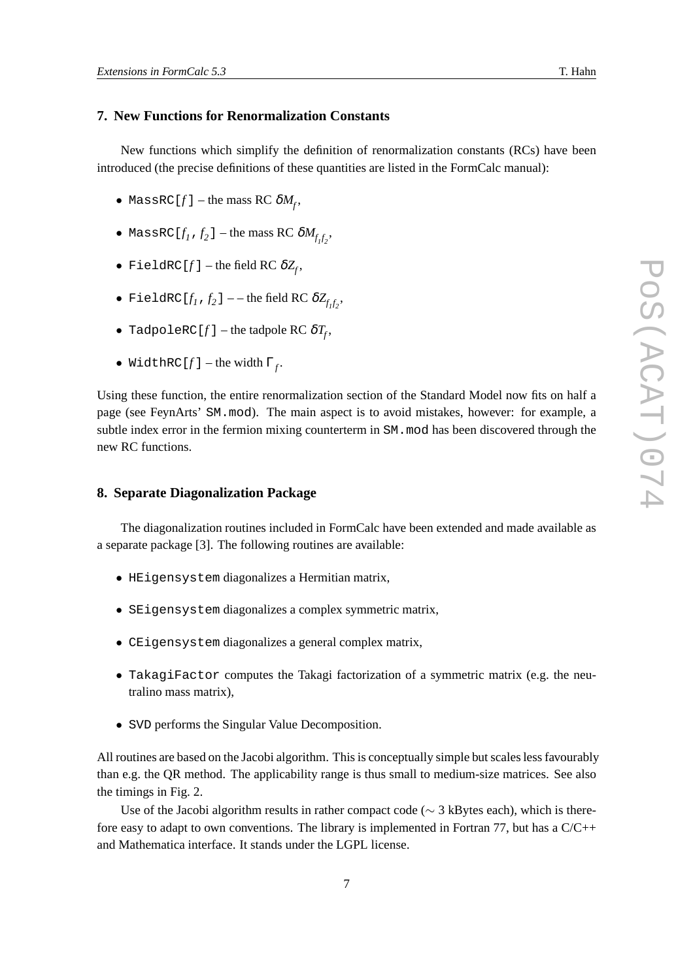# **7. New Functions for Renormalization Constants**

New functions which simplify the definition of renormalization constants (RCs) have been introduced (the precise definitions of these quantities are listed in the FormCalc manual):

- $\bullet$  MassRC[ $f$ ] the mass RC  $\delta M_f^{\phantom{\dagger}},$
- $\bullet$  MassRC [ $f_1$  ,  $f_2$  ] the mass RC  $\delta M_{f_1f_2},$
- $\bullet$  FieldRC[ $f$ ] the field RC  $\delta Z_{\!f}^{\phantom{\dag}},$
- FieldRC[ $f_1$ , $f_2$ ] --the field RC  $\delta Z_{f_1f_2}$ ,
- $\bullet$  TadpoleRC[ $f$ ] the tadpole RC  $\delta T_{\!f}$ ,
- WidthRC $[f]$  the width  $\Gamma_f$ .

Using these function, the entire renormalization section of the Standard Model now fits on half a page (see FeynArts' SM.mod). The main aspect is to avoid mistakes, however: for example, a subtle index error in the fermion mixing counterterm in SM.mod has been discovered through the new RC functions.

## **8. Separate Diagonalization Package**

The diagonalization routines included in FormCalc have been extended and made available as a separate package [3]. The following routines are available:

- HEigensystem diagonalizes a Hermitian matrix,
- SEigensystem diagonalizes a complex symmetric matrix,
- CEigensystem diagonalizes a general complex matrix,
- TakagiFactor computes the Takagi factorization of a symmetric matrix (e.g. the neutralino mass matrix),
- SVD performs the Singular Value Decomposition.

All routines are based on the Jacobi algorithm. This is conceptually simple but scales less favourably than e.g. the QR method. The applicability range is thus small to medium-size matrices. See also the timings in Fig. 2.

Use of the Jacobi algorithm results in rather compact code ( $\sim$  3 kBytes each), which is therefore easy to adapt to own conventions. The library is implemented in Fortran 77, but has a C/C++ and Mathematica interface. It stands under the LGPL license.